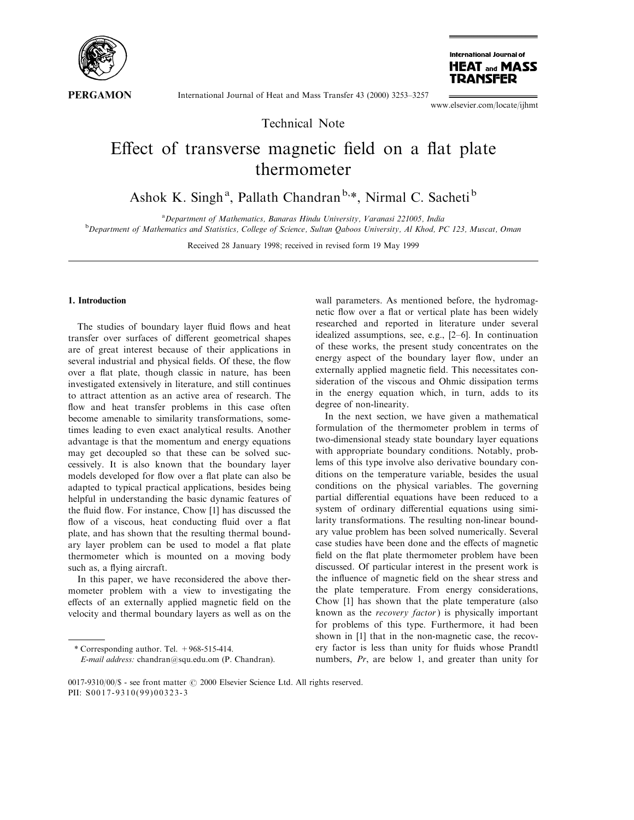

International Journal of Heat and Mass Transfer 43 (2000) 3253-3257

International Journal of **HEAT and MASS TRANSFER** 

www.elsevier.com/locate/ijhmt

Technical Note

# Effect of transverse magnetic field on a flat plate thermometer

Ashok K. Singh<sup>a</sup>, Pallath Chandran<sup>b,\*</sup>, Nirmal C. Sacheti<sup>b</sup>

<sup>a</sup> Department of Mathematics, Banaras Hindu University, Varanasi 221005, India<br><sup>b</sup> Department of Mathematics and Statistics, College of Science, Sultan Ochoos University, 41 Khod, B

<sup>b</sup>Department of Mathematics and Statistics, College of Science, Sultan Qaboos University, Al Khod, PC 123, Muscat, Oman

Received 28 January 1998; received in revised form 19 May 1999

# 1. Introduction

The studies of boundary layer fluid flows and heat transfer over surfaces of different geometrical shapes are of great interest because of their applications in several industrial and physical fields. Of these, the flow over a flat plate, though classic in nature, has been investigated extensively in literature, and still continues to attract attention as an active area of research. The flow and heat transfer problems in this case often become amenable to similarity transformations, sometimes leading to even exact analytical results. Another advantage is that the momentum and energy equations may get decoupled so that these can be solved successively. It is also known that the boundary layer models developed for flow over a flat plate can also be adapted to typical practical applications, besides being helpful in understanding the basic dynamic features of the fluid flow. For instance, Chow [1] has discussed the flow of a viscous, heat conducting fluid over a flat plate, and has shown that the resulting thermal boundary layer problem can be used to model a flat plate thermometer which is mounted on a moving body such as, a flying aircraft.

In this paper, we have reconsidered the above thermometer problem with a view to investigating the effects of an externally applied magnetic field on the velocity and thermal boundary layers as well as on the

wall parameters. As mentioned before, the hydromagnetic flow over a flat or vertical plate has been widely researched and reported in literature under several idealized assumptions, see, e.g.,  $[2-6]$ . In continuation of these works, the present study concentrates on the energy aspect of the boundary layer flow, under an externally applied magnetic field. This necessitates consideration of the viscous and Ohmic dissipation terms in the energy equation which, in turn, adds to its degree of non-linearity.

In the next section, we have given a mathematical formulation of the thermometer problem in terms of two-dimensional steady state boundary layer equations with appropriate boundary conditions. Notably, problems of this type involve also derivative boundary conditions on the temperature variable, besides the usual conditions on the physical variables. The governing partial differential equations have been reduced to a system of ordinary differential equations using similarity transformations. The resulting non-linear boundary value problem has been solved numerically. Several case studies have been done and the effects of magnetic field on the flat plate thermometer problem have been discussed. Of particular interest in the present work is the influence of magnetic field on the shear stress and the plate temperature. From energy considerations, Chow [1] has shown that the plate temperature (also known as the recovery factor) is physically important for problems of this type. Furthermore, it had been shown in [1] that in the non-magnetic case, the recovery factor is less than unity for fluids whose Prandtl numbers, Pr, are below 1, and greater than unity for

<sup>\*</sup> Corresponding author. Tel. +968-515-414. E-mail address: chandran@squ.edu.om (P. Chandran).

<sup>0017-9310/00/\$ -</sup> see front matter  $\odot$  2000 Elsevier Science Ltd. All rights reserved. PII: S0017-9310(99)00323-3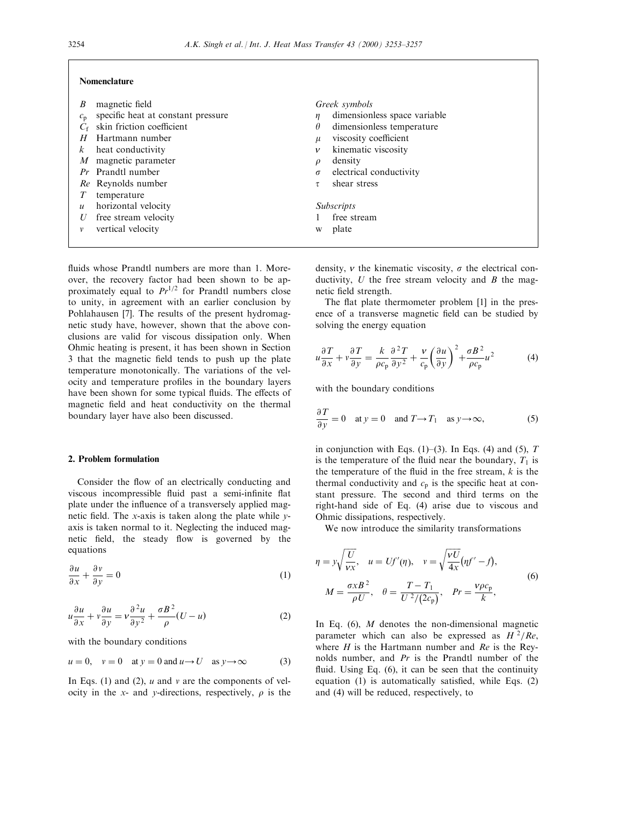#### Nomenclature

| В                | magnetic field                     |              | Greek symbols                |
|------------------|------------------------------------|--------------|------------------------------|
| $c_{\rm n}$      | specific heat at constant pressure | η            | dimensionless space variable |
|                  | skin friction coefficient          | $\theta$     | dimensionless temperature    |
| H                | Hartmann number                    | u            | viscosity coefficient        |
| $\kappa$         | heat conductivity                  | $\mathcal V$ | kinematic viscosity          |
| M                | magnetic parameter                 | $\varrho$    | density                      |
|                  | <i>Pr</i> Prandtl number           | $\sigma$     | electrical conductivity      |
|                  | Re Reynolds number                 |              | shear stress                 |
| T                | temperature                        |              |                              |
| $\boldsymbol{u}$ | horizontal velocity                |              | <i>Subscripts</i>            |
| U                | free stream velocity               |              | free stream                  |
|                  | vertical velocity                  | W            | plate                        |

fluids whose Prandtl numbers are more than 1. Moreover, the recovery factor had been shown to be approximately equal to  $Pr^{1/2}$  for Prandtl numbers close to unity, in agreement with an earlier conclusion by Pohlahausen [7]. The results of the present hydromagnetic study have, however, shown that the above conclusions are valid for viscous dissipation only. When Ohmic heating is present, it has been shown in Section 3 that the magnetic field tends to push up the plate temperature monotonically. The variations of the velocity and temperature profiles in the boundary layers have been shown for some typical fluids. The effects of magnetic field and heat conductivity on the thermal boundary layer have also been discussed.

#### 2. Problem formulation

Consider the flow of an electrically conducting and viscous incompressible fluid past a semi-infinite flat plate under the influence of a transversely applied magnetic field. The x-axis is taken along the plate while  $y$ axis is taken normal to it. Neglecting the induced magnetic field, the steady flow is governed by the equations

$$
\frac{\partial u}{\partial x} + \frac{\partial v}{\partial y} = 0\tag{1}
$$

$$
u\frac{\partial u}{\partial x} + v\frac{\partial u}{\partial y} = v\frac{\partial^2 u}{\partial y^2} + \frac{\sigma B^2}{\rho}(U - u)
$$
 (2)

with the boundary conditions

$$
u = 0
$$
,  $v = 0$  at  $y = 0$  and  $u \rightarrow U$  as  $y \rightarrow \infty$  (3)

In Eqs. (1) and (2),  $u$  and  $v$  are the components of velocity in the x- and y-directions, respectively,  $\rho$  is the density,  $\nu$  the kinematic viscosity,  $\sigma$  the electrical conductivity,  $U$  the free stream velocity and  $B$  the magnetic field strength.

The flat plate thermometer problem [1] in the presence of a transverse magnetic field can be studied by solving the energy equation

$$
u\frac{\partial T}{\partial x} + v\frac{\partial T}{\partial y} = \frac{k}{\rho c_{\rm p}}\frac{\partial^2 T}{\partial y^2} + \frac{v}{c_{\rm p}}\left(\frac{\partial u}{\partial y}\right)^2 + \frac{\sigma B^2}{\rho c_{\rm p}}u^2\tag{4}
$$

with the boundary conditions

$$
\frac{\partial T}{\partial y} = 0 \quad \text{at } y = 0 \quad \text{and } T \to T_1 \quad \text{as } y \to \infty,
$$
 (5)

in conjunction with Eqs. (1)–(3). In Eqs. (4) and (5),  $T$ is the temperature of the fluid near the boundary,  $T_1$  is the temperature of the fluid in the free stream,  $k$  is the thermal conductivity and  $c_p$  is the specific heat at constant pressure. The second and third terms on the right-hand side of Eq. (4) arise due to viscous and Ohmic dissipations, respectively.

We now introduce the similarity transformations

$$
\eta = y \sqrt{\frac{U}{vx}}, \quad u = Uf'(\eta), \quad v = \sqrt{\frac{vU}{4x}} (\eta f' - f),
$$

$$
M = \frac{\sigma x B^2}{\rho U}, \quad \theta = \frac{T - T_1}{U^2/(2c_p)}, \quad Pr = \frac{v \rho c_p}{k},
$$
(6)

In Eq.  $(6)$ , *M* denotes the non-dimensional magnetic parameter which can also be expressed as  $H^2/Re$ , where  $H$  is the Hartmann number and  $Re$  is the Reynolds number, and Pr is the Prandtl number of the fluid. Using Eq.  $(6)$ , it can be seen that the continuity equation  $(1)$  is automatically satisfied, while Eqs.  $(2)$ and (4) will be reduced, respectively, to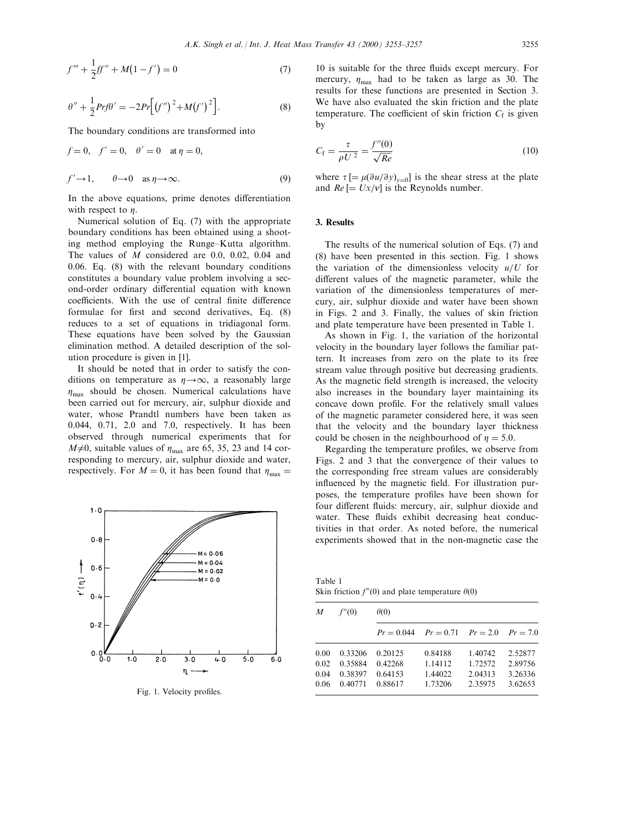$$
f''' + \frac{1}{2}ff'' + M(1 - f') = 0
$$
\n(7)

$$
\theta'' + \frac{1}{2} Prf \theta' = -2Pr \Big[ (f'')^2 + M(f')^2 \Big].
$$
 (8)

The boundary conditions are transformed into

$$
f = 0, \quad f' = 0, \quad \theta' = 0 \quad \text{at } \eta = 0,
$$
  

$$
f' \to 1, \qquad \theta \to 0 \quad \text{as } \eta \to \infty.
$$
 (9)

In the above equations, prime denotes differentiation with respect to  $\eta$ .

Numerical solution of Eq. (7) with the appropriate boundary conditions has been obtained using a shooting method employing the Runge-Kutta algorithm. The values of M considered are 0.0, 0.02, 0.04 and 0.06. Eq. (8) with the relevant boundary conditions constitutes a boundary value problem involving a second-order ordinary differential equation with known coefficients. With the use of central finite difference formulae for first and second derivatives, Eq. (8) reduces to a set of equations in tridiagonal form. These equations have been solved by the Gaussian elimination method. A detailed description of the solution procedure is given in [1].

It should be noted that in order to satisfy the conditions on temperature as  $\eta \rightarrow \infty$ , a reasonably large  $\eta_{\text{max}}$  should be chosen. Numerical calculations have been carried out for mercury, air, sulphur dioxide and water, whose Prandtl numbers have been taken as 0.044, 0.71, 2.0 and 7.0, respectively. It has been observed through numerical experiments that for  $M\neq 0$ , suitable values of  $\eta_{\text{max}}$  are 65, 35, 23 and 14 corresponding to mercury, air, sulphur dioxide and water, respectively. For  $M = 0$ , it has been found that  $\eta_{\text{max}} =$ 



Fig. 1. Velocity profiles.

10 is suitable for the three fluids except mercury. For mercury,  $\eta_{\text{max}}$  had to be taken as large as 30. The results for these functions are presented in Section 3. We have also evaluated the skin friction and the plate temperature. The coefficient of skin friction  $C_f$  is given by

$$
C_{\rm f} = \frac{\tau}{\rho U^2} = \frac{f''(0)}{\sqrt{Re}}\tag{10}
$$

where  $\tau$   $[=\mu(\partial u/\partial y)_{y=0}]$  is the shear stress at the plate and  $Re$   $\left[=Ux/v\right]$  is the Reynolds number.

## 3. Results

The results of the numerical solution of Eqs. (7) and (8) have been presented in this section. Fig. 1 shows the variation of the dimensionless velocity  $u/U$  for different values of the magnetic parameter, while the variation of the dimensionless temperatures of mercury, air, sulphur dioxide and water have been shown in Figs. 2 and 3. Finally, the values of skin friction and plate temperature have been presented in Table 1.

As shown in Fig. 1, the variation of the horizontal velocity in the boundary layer follows the familiar pattern. It increases from zero on the plate to its free stream value through positive but decreasing gradients. As the magnetic field strength is increased, the velocity also increases in the boundary layer maintaining its concave down profile. For the relatively small values of the magnetic parameter considered here, it was seen that the velocity and the boundary layer thickness could be chosen in the neighbourhood of  $\eta = 5.0$ .

Regarding the temperature profiles, we observe from Figs. 2 and 3 that the convergence of their values to the corresponding free stream values are considerably influenced by the magnetic field. For illustration purposes, the temperature profiles have been shown for four different fluids: mercury, air, sulphur dioxide and water. These fluids exhibit decreasing heat conductivities in that order. As noted before, the numerical experiments showed that in the non-magnetic case the

Table 1 Skin friction  $f''(0)$  and plate temperature  $\theta(0)$ 

| M                            | f''(0)                                   | $\theta(0)$                                    |                                          |                                          |                                          |  |  |
|------------------------------|------------------------------------------|------------------------------------------------|------------------------------------------|------------------------------------------|------------------------------------------|--|--|
|                              |                                          | $Pr = 0.044$ $Pr = 0.71$ $Pr = 2.0$ $Pr = 7.0$ |                                          |                                          |                                          |  |  |
| 0.00<br>0.02<br>0.04<br>0.06 | 0.33206<br>0.35884<br>0.38397<br>0.40771 | 0.20125<br>0.42268<br>0.64153<br>0.88617       | 0.84188<br>1.14112<br>1.44022<br>1.73206 | 1.40742<br>1.72572<br>2.04313<br>2.35975 | 2.52877<br>2.89756<br>3.26336<br>3.62653 |  |  |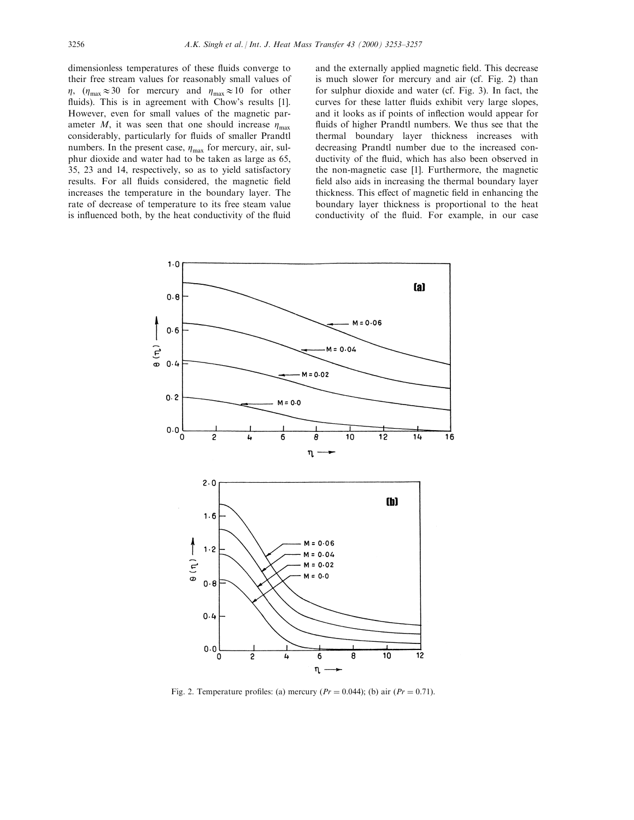dimensionless temperatures of these fluids converge to their free stream values for reasonably small values of  $\eta$ ,  $(\eta_{\text{max}} \approx 30 \text{ for mercury and } \eta_{\text{max}} \approx 10 \text{ for other})$ fluids). This is in agreement with Chow's results [1]. However, even for small values of the magnetic parameter M, it was seen that one should increase  $\eta_{\text{max}}$ considerably, particularly for fluids of smaller Prandtl numbers. In the present case,  $\eta_{\text{max}}$  for mercury, air, sulphur dioxide and water had to be taken as large as 65, 35, 23 and 14, respectively, so as to yield satisfactory results. For all fluids considered, the magnetic field increases the temperature in the boundary layer. The rate of decrease of temperature to its free steam value is influenced both, by the heat conductivity of the fluid and the externally applied magnetic field. This decrease is much slower for mercury and air (cf. Fig. 2) than for sulphur dioxide and water (cf. Fig. 3). In fact, the curves for these latter fluids exhibit very large slopes, and it looks as if points of inflection would appear for fluids of higher Prandtl numbers. We thus see that the thermal boundary layer thickness increases with decreasing Prandtl number due to the increased conductivity of the fluid, which has also been observed in the non-magnetic case [1]. Furthermore, the magnetic field also aids in increasing the thermal boundary layer thickness. This effect of magnetic field in enhancing the boundary layer thickness is proportional to the heat conductivity of the fluid. For example, in our case



Fig. 2. Temperature profiles: (a) mercury  $(Pr = 0.044)$ ; (b) air  $(Pr = 0.71)$ .